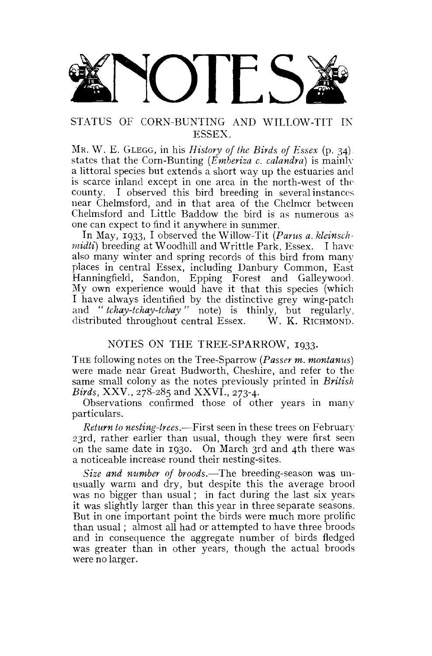

## STATUS OF CORN-BUNTING AND WILLOW-TIT IN ESSEX.

MR. W. E. GLEGG, in his *History of the Birds of Essex* (p. 34). states that the Corn-Bunting *(Emberiza c. calandra)* is mainly a littoral species but extends a short way up the estuaries and is scarce inland except in one area in the north-west of the county. I observed this bird breeding in several instances near Chelmsford, and in that area of the Chelmer between Chelmsford and Little Baddow the bird is as numerous as one can expect to find it anywhere in summer.

In May, 1933, I observed the Willow-Tit *(Pants a. kleinschmidti)* breeding at Woodhill and Writtle Park, Essex. I have also many winter and spring records of this bird from many places in central Essex, including Danbury Common, East Hanningfield, Sandon, Epping Forest and Galleywood. My own experience would have it that this species (which I have always identified by the distinctive grey wing-patch and "*tchay-tchay "* note) is thinly, but regularly, distributed throughout central Essex. W. K. RICHMOND. distributed throughout central Essex.

## NOTES ON THE TREE-SPARROW, 1933.

THE following notes on the Tree-Sparrow *(Passer m. montanus)*  were made near Great Budworth, Cheshire, and refer to the same small colony as the notes previously printed in *British Birds,* XXV., 278-285 and XXVI., 273-4.

Observations confirmed those of other years in many particulars.

*Return to nesting-trees.*—First seen in these trees on February 23rd, rather earlier than usual, though they were first seen on the same date in 1930. On March 3rd and 4th there was a noticeable increase round their nesting-sites.

*Size and number of broods.*—The breeding-season was unusually warm and dry, but despite this the average brood was no bigger than usual; in fact during the last six years it was slightly larger than this year in three separate seasons. But in one important point the birds were much more prolific than usual; almost all had or attempted to have three broods and in consequence the aggregate number of birds fledged was greater than in other years, though the actual broods were no larger.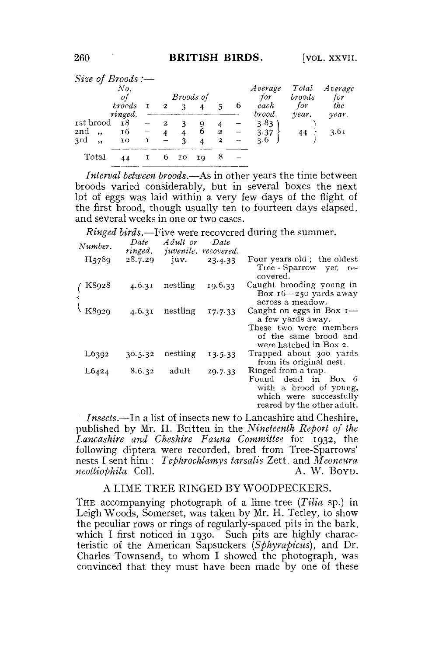| Size of Broods :—                  |                   |   |           |        |        |                              |                |                     |                |              |
|------------------------------------|-------------------|---|-----------|--------|--------|------------------------------|----------------|---------------------|----------------|--------------|
|                                    | No.<br>ot         |   | Broods of |        |        |                              | Average<br>for | Total<br>broods     | Average<br>for |              |
|                                    | broods<br>ringed. |   | 2         | ٩      |        |                              | 6              | each<br>brood.      | for<br>year.   | the<br>year. |
| 1st brood<br>2nd<br>,<br>3rd<br>,, | 18<br>16<br>10    | T | 2         | 4<br>3 | 9<br>6 | $\mathbf{2}$<br>$\mathbf{z}$ | $-$            | 3.83<br>3.37<br>3.6 | 44             | 3.61         |
| Total                              | 44                |   |           | IΟ     | ΙQ     |                              |                |                     |                |              |

*Interval between broods.*—As in other years the time between broods varied considerably, but in several boxes the next lot of eggs was laid within a very few days of the flight of the first brood, though usually ten to fourteen days elapsed, and several weeks in one or two cases.

*Ringed birds.*—Five were recovered during the summer.

| Number. | Date<br>ringed. | Adult or<br>juvenile, recovered. | Date    |                                                                                                                               |
|---------|-----------------|----------------------------------|---------|-------------------------------------------------------------------------------------------------------------------------------|
| H5789   | 28.7.29         | juv.                             | 23.4.33 | Four years old; the oldest<br>Tree - Sparrow<br>yet re-<br>covered.                                                           |
| K8928   | 4.6.31          | nestling                         | 19.6.33 | Caught brooding young in<br>Box $16 - 250$ yards away<br>across a meadow.                                                     |
| K8929   | 4.6.31          | nestling                         | 17.7.33 | Caught on eggs in Box $I$ —<br>a few yards away.<br>These two were members<br>of the same brood and<br>were hatched in Box 2. |
| L6392   | 30.5.32         | nestling                         | 13.5.33 | Trapped about 300 yards<br>from its original nest.                                                                            |
| L6424   | 8.6.32          | adult                            | 29.7.33 | Ringed from a trap.<br>Found dead in Box 6<br>with a brood of young,<br>which were successfully<br>reared by the other adult. |

*Insects.*—In a list of insects new to Lancashire and Cheshire, published by Mr. H. Britten in the *Nineteenth Report of the Lancashire and Cheshire Fauna Committee* for 1932, the following diptera were recorded, bred from Tree-Sparrows' nests I sent him : *Tephrochlamys tar salts* Zett. and *Meoneura neottiophila* Coll. **A. W. BOYD.** 

## A LIME TREE RINGED BY WOODPECKERS.

THE accompanying photograph of a lime tree *(Tilia* sp.) in Leigh Woods, Somerset, was taken by Mr. H. Tetley, to show the peculiar rows or rings of regularly-spaced pits in the bark, which I first noticed in 1930. Such pits are highly characteristic of the American Sapsuckers *(Spkyrapicus),* and Dr. Charles Townsend, to whom I showed the photograph, was convinced that they must have been made by one of these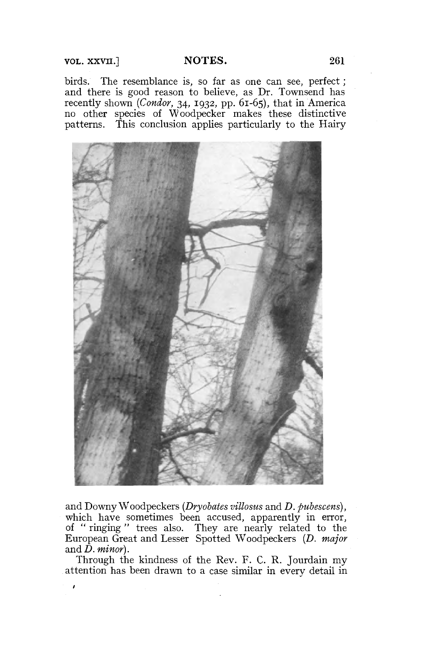VOL. XXVII.] **NOTES.** 261

birds. The resemblance is, so far as one can see, perfect; and there is good reason to believe, as Dr. Townsend has recently shown *(Condor,* 34, 1932, pp. 61-65), that in America no other species of Woodpecker makes these distinctive patterns. This conclusion applies particularly to the Hairy



and Downy Woodpeckers *(Dryobates villosus* and *D. pubescens),*  which have sometimes been accused, apparently in error, of " ringing " trees also. They are nearly related to the European Great and Lesser Spotted Woodpeckers *{D. major*  and  $\bar{D}$ *. minor*).

Through the kindness of the Rev. F. C. R. Jourdain my attention has been drawn to a case similar in every detail in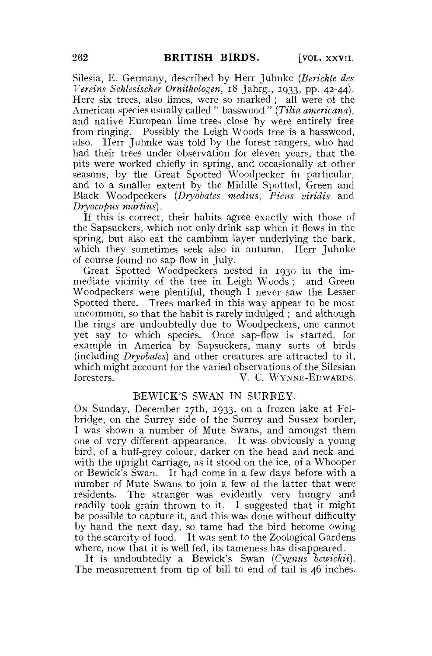Silesia, E. Germany, described by Herr Juhnke *(Berichte des Vereins Schlesischer Ornithologen,* 18 Jahrg., 1933, pp. 42-44). Here six trees, also limes, were so marked ; all were of the American species usually called " basswood " *(Tilia americana),*  and native European lime trees close by were entirely free from ringing. Possibly the Leigh Woods tree is a basswood, also. Herr Juhnke was told by the forest rangers, who had had their trees under observation for eleven years, that the pits were worked chiefly in spring, and occasionally at other seasons, by the Great Spotted Woodpecker in particular, and to a smaller extent by the Middle Spotted, Green and Black Woodpeckers *(Dryobates medius, Picus viridis* and *Dryocopus martins).* 

If this is correct, their habits agree exactly with those of the Sapsuckers, which not only drink sap when it flows in the spring, but also eat the cambium layer underlying the bark, which they sometimes seek also in autumn. Herr Juhnke of course found no sap-flow in July.

Great Spotted Woodpeckers nested in 1930 in the immediate vicinity of the tree in Leigh Woods ; and Green Woodpeckers were plentiful, though I never saw the Lesser Spotted there. Trees marked in this way appear to be most uncommon, so that the habit is rarely indulged; and although the rings are undoubtedly due to Woodpeckers, one cannot yet say to which species. Once sap-flow is started, for example in America by Sapsuckers, many sorts of birds (including *Dryobates)* and other creatures are attracted to it, which might account for the varied observations of the Silesian foresters. V. C. WYNNE-EDWARDS.

## BEWICK'S SWAN IN SURREY.

ON Sunday, December 17th, 1933, on a frozen lake at Felbridge, on the Surrey side of the Surrey and Sussex border, I was shown a number of Mute Swans, and amongst them one of very different appearance. It was obviously a young bird, of a buff-grey colour, darker on the head and neck and with the upright carriage, as it stood on the ice, of a Whooper or Bewick's Swan. It had come in a few days before with a number of Mute Swans to join a few of the latter that were residents. The stranger was evidently very hungry and readily took grain thrown to it. I suggested that it might be possible to capture it, and this was done without difficulty by hand the next day, so tame had the bird become owing to the scarcity of food. It was sent to the Zoological Gardens where, now that it is well fed, its tameness has disappeared.

It is undoubtedly a Bewick's Swan *(Cygnus bewickii).*  The measurement from tip of bill to end of tail is 46 inches.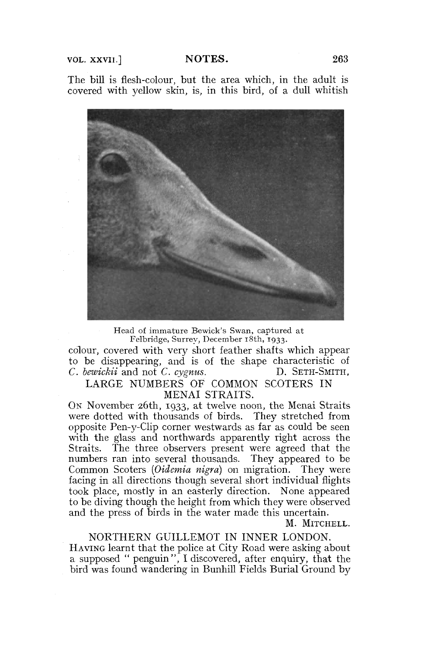VOL. XXVII.] **NOTES.** 263

The bill is flesh-colour, but the area which, in the adult is covered with yellow skin, is, in this bird, of a dull whitish



Head of immature Bewick's Swan, captured at Felbridge, Surrey, December 18th, 1933.

colour, covered with very short feather shafts which appear to be disappearing, and is of the shape characteristic of *C. bewickii* and not *C. cygnus.* D. SETH-SMITH,

LARGE NUMBERS OF COMMON SCOTERS IN MENAI STRAITS.

ON November 26th, 1933, at twelve noon, the Menai Straits were dotted with thousands of birds. They stretched from opposite Pen-y-Clip corner westwards as far as could be seen with the glass and northwards apparently right across the Straits. The three observers present were agreed that the numbers ran into several thousands. They appeared to be Common Scoters *(Oidemia nigra)* on migration. They were facing in all directions though several short individual flights took place, mostly in an easterly direction. None appeared to be diving though the height from which they were observed and the press of birds in the water made this uncertain.

M. MITCHELL.

NORTHERN GUILLEMOT IN INNER LONDON. HAVING learnt that the police at City Road were asking about a supposed " penguin", I discovered, after enquiry, that the bird was found wandering in Bunhill Fields Burial Ground by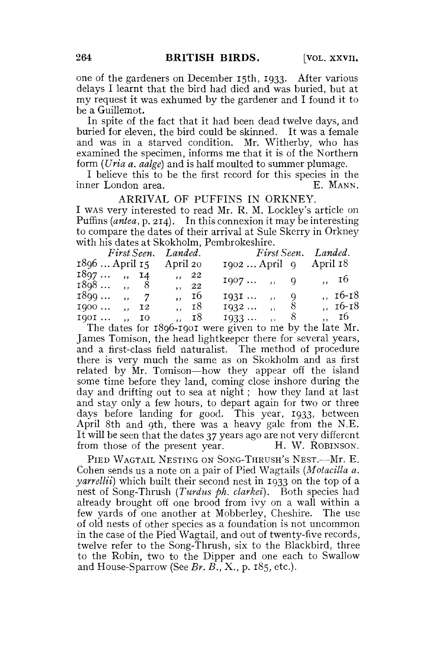one of the gardeners on December 15th, 1933. After various delays I learnt that the bird had died and was buried, but at my request it was exhumed by the gardener and I found it to be a Guillemot.

In spite of the fact that it had been dead twelve days, and buried for eleven, the bird could be skinned. It was a female and was in a starved condition. Mr. Witherby, who has examined the specimen, informs me that it is of the Northern form *{Una a. aalge)* and is half moulted to summer plumage.

I believe this to be the first record for this species in the ner London area. E. MANN. inner London area.

ARRIVAL OF PUFFINS IN ORKNEY. I WAS very interested to read Mr. R. M. Lockley's article on Puffins *{antea,* p. 214). In this connexion it may be interesting to compare the dates of their arrival at Sule Skerry in Orkney with his dates at Skokholm, Pembrokeshire.

|                |  |       | First Seen. Landed. |       |                           | First Seen. Landed. |  |  |  |           |
|----------------|--|-------|---------------------|-------|---------------------------|---------------------|--|--|--|-----------|
| 1896  April 15 |  |       | April 20            |       | $1902$ April 9 April $18$ |                     |  |  |  |           |
| $1897$ , $14$  |  |       | $\,$ ,, 22          |       | $1907$ , 9                |                     |  |  |  | ,, 16     |
| $1898$ , 8     |  |       |                     | , 22  |                           |                     |  |  |  |           |
| $1899$ , 7     |  |       |                     | ", 16 | $1931$ , 9                |                     |  |  |  | $, 16-18$ |
| 1900           |  | ,, 12 |                     | ,, 18 | $1932$ , 8                |                     |  |  |  | ,, 16-18  |
| 1901  ,, 10    |  |       |                     | ., 18 | $1933$ ,                  |                     |  |  |  | ,, 16     |

The dates for 1896-1901 were given to me by the late Mr. James Tomison, the head lightkeeper there for several years, and a first-class field naturalist. The method of procedure there is very much the same as on Skokholm and as first related by Mr. Tomison—how they appear off the island some time before they land, coming close inshore during the day and drifting out to sea at night; how they land at last and stay only a few hours, to depart again for two or three days before landing for good. This year, 1933, between April 8th and 9th, there was a heavy gale from the N.E. It will be seen that the dates 37 years ago are not very different from those of the present year. H. W. ROBINSON.

PIED WAGTAIL NESTING ON SONG-THRUSH'S NEST.—Mr. E. Cohen sends us a note on a pair of Pied Wagtails *{Motacilla a. yarrellii)* which built their second nest in 1933 on the top of a nest of Song-Thrush *(Turdus ph. clarkei)*. Both species had already brought off one brood from ivy on a wall within a few yards of one another at Mobberley, Cheshire. The use of old nests of other species as a foundation is not uncommon in the case of the Pied Wagtail, and out of twenty-five records, twelve refer to the Song-Thrush, six to the Blackbird, three to the Robin, two to the Dipper and one each to Swallow and House-Sparrow (See *Br. B.,* X., p. 185, etc.).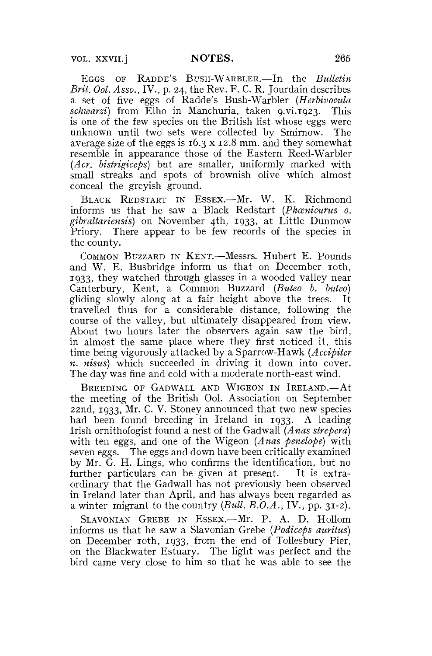EGGS OF RADDE'S BUSH-WARBLER.—In the *Bulletin Brit. Ool. Asso.,* IV., p. 24, the Rev. F. C. R. Jourdain describes a set of five eggs of Radde's Bush-Warbler *(Herbivocula*  schwarzi) from Elho in Manchuria, taken 9.vi.1923. This is one of the few species on the British list whose eggs were unknown until two sets were collected by Smirnow. The average size of the eggs is 16.3 x 12.8 mm. and they somewhat resemble in appearance those of the Eastern Reed-Warbler *(Acr. bistrigiceps)* but are smaller, uniformly marked with small streaks and spots of brownish olive which almost conceal the greyish ground.

BLACK REDSTART IN ESSEX.—Mr. W. K. Richmond informs us that he saw a Black Redstart (Phanicurus o. *gibraltariensis)* on November 4th, 1933, at Little Dunmow Priory. There appear to be few records of the species in the county.

COMMON BUZZARD IN KENT.—Messrs. Hubert E. Pounds and W. E. Busbridge inform us that on December roth, 1933, they watched through glasses in a wooded valley near Canterbury, Kent, a Common Buzzard *(Buteo b. buteo)*  gliding slowly along at a fair height above the trees. It travelled thus for a considerable distance, following the course of the valley, but ultimately disappeared from view. About two hours later the observers again saw the bird, in almost the same place where they first noticed it, this time being vigorously attacked by a Sparrow-Hawk *(Accipiter n. nisus)* which succeeded in driving it down into cover. The day was fine and cold with a moderate north-east wind.

BREEDING OF GADWALL AND WIGEON IN IRELAND.—At the meeting of the British Ool. Association on September 22nd, 1933, Mr. C. V. Stoney announced that two new species had been found breeding in Ireland in 1933. A leading Irish ornithologist found a nest of the Gadwall *(Anas strepera)*  with ten eggs, and one of the Wigeon *(Anas penelope)* with seven eggs. The eggs and down have been critically examined by Mr. G. H. Lings, who confirms the identification, but no further particulars can be given at present. It is extraordinary that the Gadwall has not previously been observed in Ireland later than April, and has always been regarded as a winter migrant to the country *(Bull. B.O.A.,* IV., pp. 31-2).

SLAVONIAN GREBE IN ESSEX.—Mr. P. A. D. Hollom informs us that he saw a Slavonian Grebe *(Podiceps auritus)*  on December 10th, 1933, from the end of Tollesbury Pier, on the Blackwater Estuary. The light was perfect and the bird came very close to him so that he was able to see the